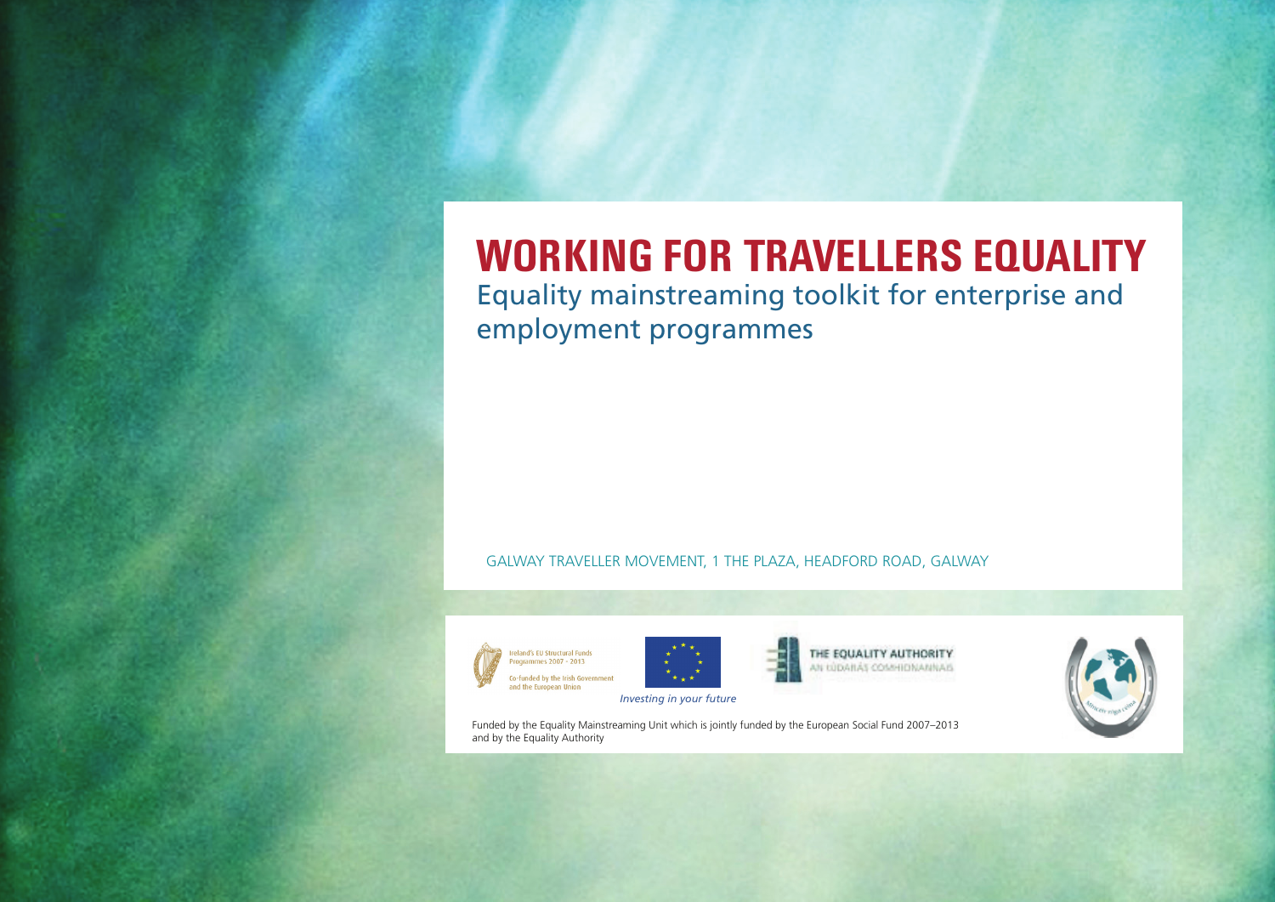# **WORKING FOR TravellerS EQUALITY**

Equality mainstreaming toolkit for enterprise and employment programmes

#### Galway Traveller Movement, 1 The Plaza, Headford Road, Galway





THE EQUALITY AUTHORITY AN IÚDAILÁS COMHIDMANNAIS



Funded by the Equality Mainstreaming Unit which is jointly funded by the European Social Fund 2007–2013 and by the Equality Authority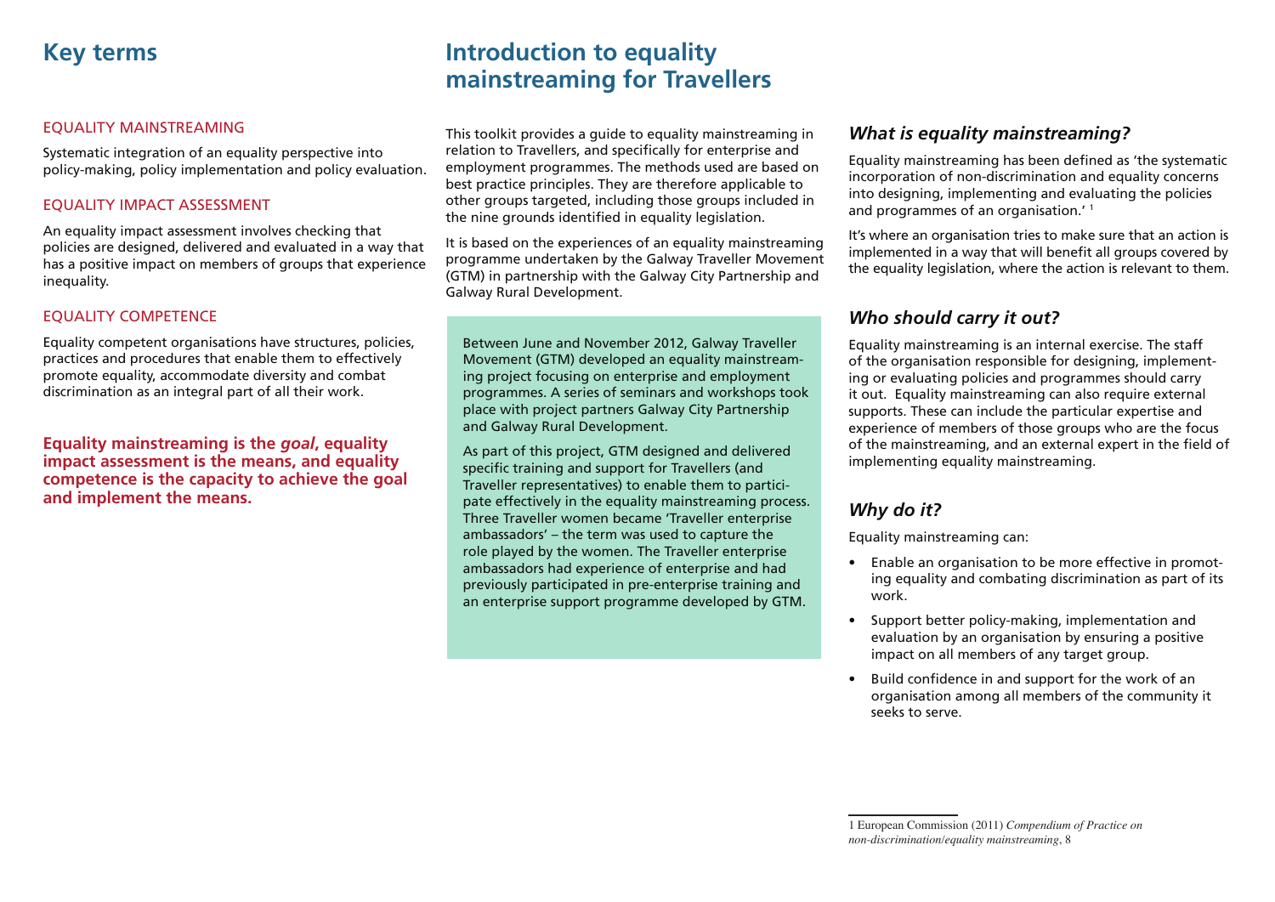#### Equality mainstreaming

Systematic integration of an equality perspective into policy-making, policy implementation and policy evaluation.

#### Equality impact assessment

An equality impact assessment involves checking that policies are designed, delivered and evaluated in a way that has a positive impact on members of groups that experience inequality.

### Equality competence

Equality competent organisations have structures, policies, practices and procedures that enable them to effectively promote equality, accommodate diversity and combat discrimination as an integral part of all their work.

**Equality mainstreaming is the** *goal***, equality impact assessment is the means, and equality competence is the capacity to achieve the goal and implement the means.**

# **Introduction to equality mainstreaming for Travellers**

This toolkit provides a guide to equality mainstreaming in relation to Travellers, and specifically for enterprise and employment programmes. The methods used are based on best practice principles. They are therefore applicable to other groups targeted, including those groups included in the nine grounds identified in equality legislation.

It is based on the experiences of an equality mainstreaming programme undertaken by the Galway Traveller Movement (GTM) in partnership with the Galway City Partnership and Galway Rural Development.

Between June and November 2012, Galway Traveller Movement (GTM) developed an equality mainstreaming project focusing on enterprise and employment programmes. A series of seminars and workshops took place with project partners Galway City Partnership and Galway Rural Development.

As part of this project, GTM designed and delivered specific training and support for Travellers (and Traveller representatives) to enable them to participate effectively in the equality mainstreaming process. Three Traveller women became 'Traveller enterprise ambassadors' – the term was used to capture the role played by the women. The Traveller enterprise ambassadors had experience of enterprise and had previously participated in pre-enterprise training and an enterprise support programme developed by GTM.

# *What is equality mainstreaming?*

Equality mainstreaming has been defined as 'the systematic incorporation of non-discrimination and equality concerns into designing, implementing and evaluating the policies and programmes of an organisation.<sup>'</sup>

It's where an organisation tries to make sure that an action is implemented in a way that will benefit all groups covered by the equality legislation, where the action is relevant to them.

# *Who should carry it out?*

Equality mainstreaming is an internal exercise. The staff of the organisation responsible for designing, implementing or evaluating policies and programmes should carry it out. Equality mainstreaming can also require external supports. These can include the particular expertise and experience of members of those groups who are the focus of the mainstreaming, and an external expert in the field of implementing equality mainstreaming.

# *Why do it?*

Equality mainstreaming can:

- Enable an organisation to be more effective in promoting equality and combating discrimination as part of its work.
- • Support better policy-making, implementation and evaluation by an organisation by ensuring a positive impact on all members of any target group.
- • Build confidence in and support for the work of an organisation among all members of the community it seeks to serve.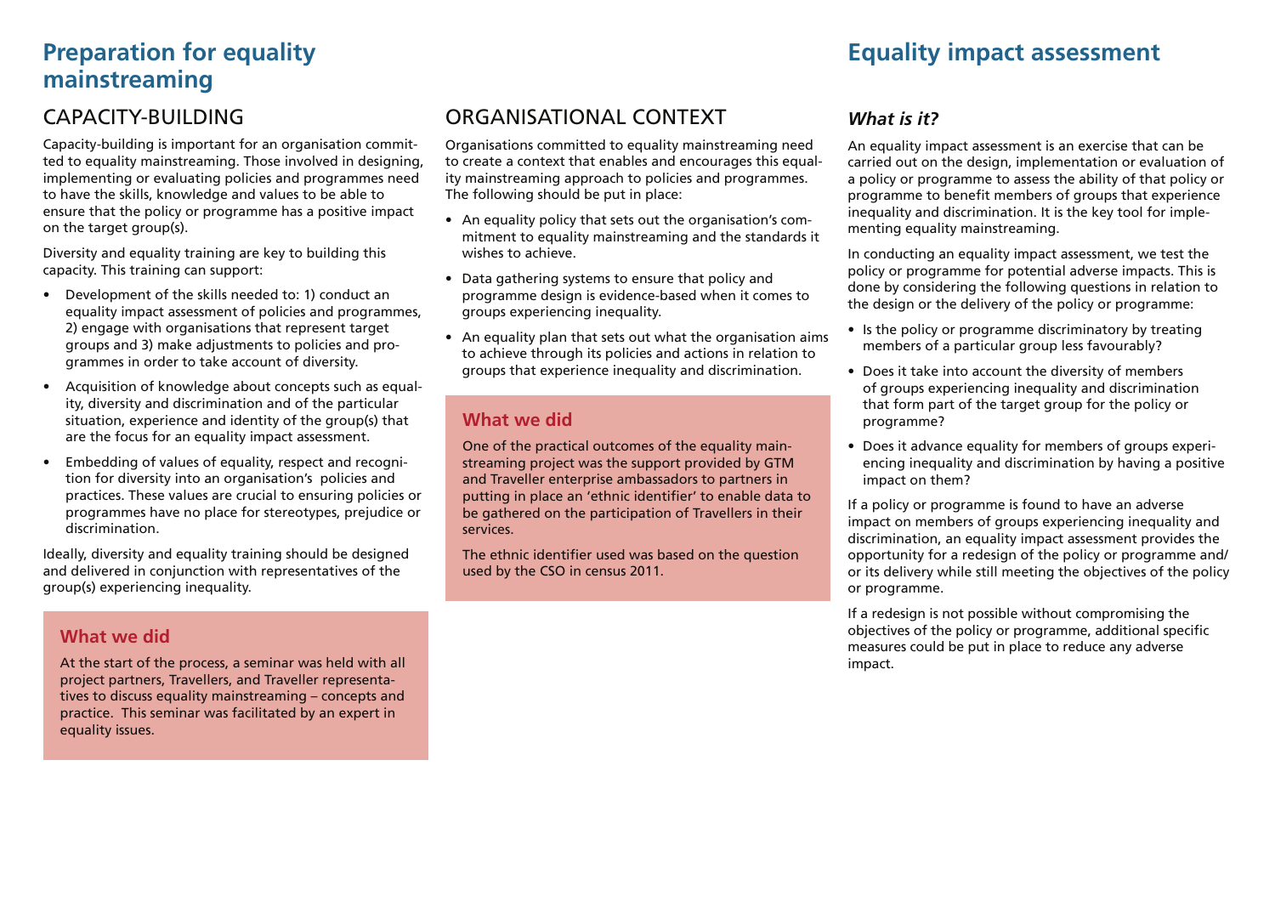# **Equality impact assessment**

# **Preparation for equality mainstreaming**

# CAPACITY-BUILDING

Capacity-building is important for an organisation committed to equality mainstreaming. Those involved in designing, implementing or evaluating policies and programmes need to have the skills, knowledge and values to be able to ensure that the policy or programme has a positive impact on the target group(s).

Diversity and equality training are key to building this capacity. This training can support:

- • Development of the skills needed to: 1) conduct an equality impact assessment of policies and programmes, 2) engage with organisations that represent target groups and 3) make adjustments to policies and programmes in order to take account of diversity.
- Acquisition of knowledge about concepts such as equality, diversity and discrimination and of the particular situation, experience and identity of the group(s) that are the focus for an equality impact assessment.
- Embedding of values of equality, respect and recognition for diversity into an organisation's policies and practices. These values are crucial to ensuring policies or programmes have no place for stereotypes, prejudice or discrimination.

Ideally, diversity and equality training should be designed and delivered in conjunction with representatives of the group(s) experiencing inequality.

# **What we did**

At the start of the process, a seminar was held with all project partners, Travellers, and Traveller representatives to discuss equality mainstreaming – concepts and practice. This seminar was facilitated by an expert in equality issues.

# Organisational context

Organisations committed to equality mainstreaming need to create a context that enables and encourages this equality mainstreaming approach to policies and programmes. The following should be put in place:

- • An equality policy that sets out the organisation's commitment to equality mainstreaming and the standards it wishes to achieve.
- Data gathering systems to ensure that policy and programme design is evidence-based when it comes to groups experiencing inequality.
- An equality plan that sets out what the organisation aims to achieve through its policies and actions in relation to groups that experience inequality and discrimination.

# **What we did**

One of the practical outcomes of the equality mainstreaming project was the support provided by GTM and Traveller enterprise ambassadors to partners in putting in place an 'ethnic identifier' to enable data to be gathered on the participation of Travellers in their services.

The ethnic identifier used was based on the question used by the CSO in census 2011.

# *What is it?*

An equality impact assessment is an exercise that can be carried out on the design, implementation or evaluation of a policy or programme to assess the ability of that policy or programme to benefit members of groups that experience inequality and discrimination. It is the key tool for implementing equality mainstreaming.

In conducting an equality impact assessment, we test the policy or programme for potential adverse impacts. This is done by considering the following questions in relation to the design or the delivery of the policy or programme:

- Is the policy or programme discriminatory by treating members of a particular group less favourably?
- Does it take into account the diversity of members of groups experiencing inequality and discrimination that form part of the target group for the policy or programme?
- Does it advance equality for members of groups experiencing inequality and discrimination by having a positive impact on them?

If a policy or programme is found to have an adverse impact on members of groups experiencing inequality and discrimination, an equality impact assessment provides the opportunity for a redesign of the policy or programme and/ or its delivery while still meeting the objectives of the policy or programme.

If a redesign is not possible without compromising the objectives of the policy or programme, additional specific measures could be put in place to reduce any adverse impact.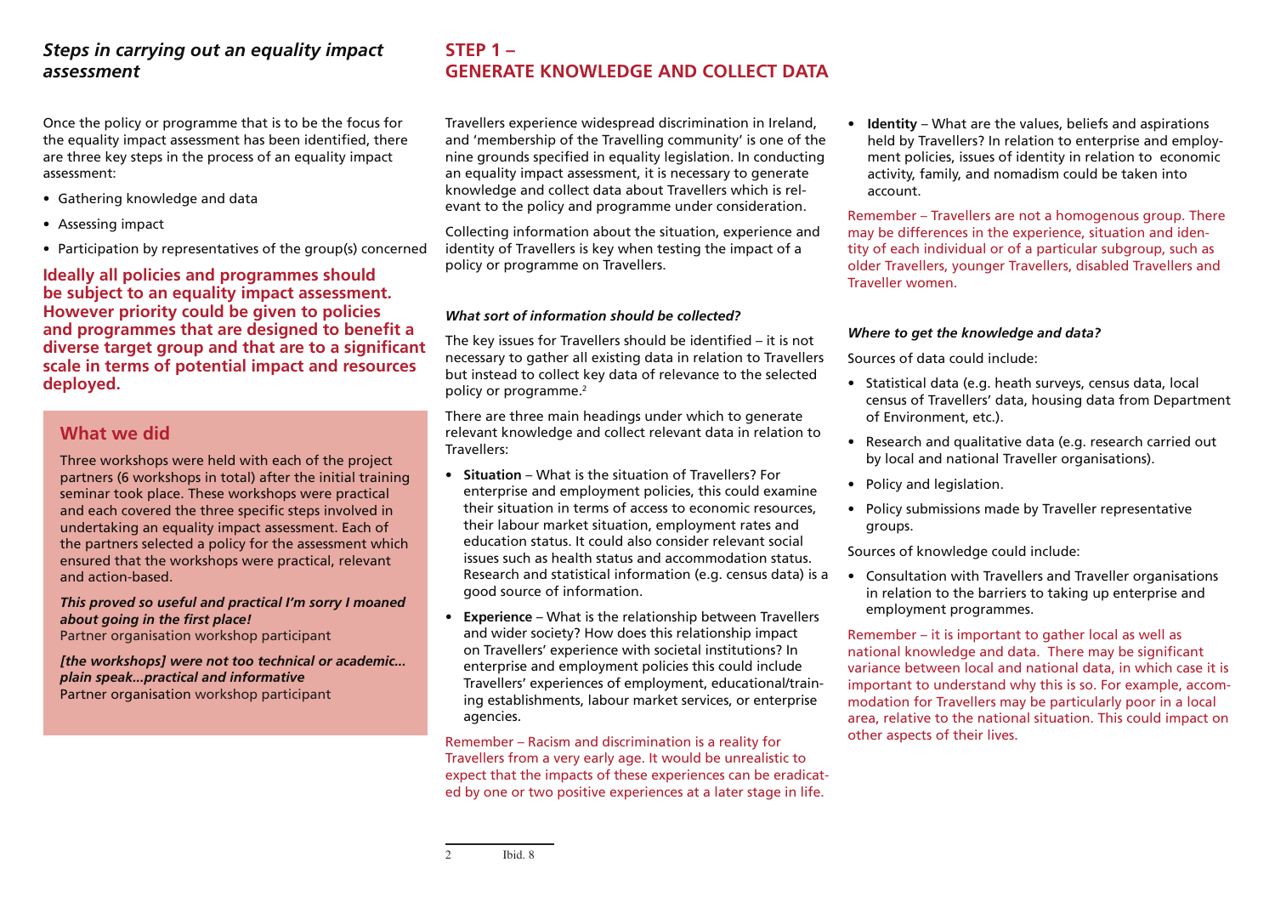# *Steps in carrying out an equality impact assessment*

Once the policy or programme that is to be the focus for the equality impact assessment has been identified, there are three key steps in the process of an equality impact assessment:

- • Gathering knowledge and data
- • Assessing impact
- Participation by representatives of the group(s) concerned

#### **Ideally all policies and programmes should be subject to an equality impact assessment. However priority could be given to policies and programmes that are designed to benefit a diverse target group and that are to a significant scale in terms of potential impact and resources deployed.**

# **What we did**

Three workshops were held with each of the project partners (6 workshops in total) after the initial training seminar took place. These workshops were practical and each covered the three specific steps involved in undertaking an equality impact assessment. Each of the partners selected a policy for the assessment which ensured that the workshops were practical, relevant and action-based.

*This proved so useful and practical I'm sorry I moaned about going in the first place!* Partner organisation workshop participant

*[the workshops] were not too technical or academic... plain speak...practical and informative* Partner organisation workshop participant

# **Step 1 – Generate knowledge and collect data**

Travellers experience widespread discrimination in Ireland, and 'membership of the Travelling community' is one of the nine grounds specified in equality legislation. In conducting an equality impact assessment, it is necessary to generate knowledge and collect data about Travellers which is relevant to the policy and programme under consideration.

Collecting information about the situation, experience and identity of Travellers is key when testing the impact of a policy or programme on Travellers.

#### *What sort of information should be collected?*

The key issues for Travellers should be identified – it is not necessary to gather all existing data in relation to Travellers but instead to collect key data of relevance to the selected policy or programme.<sup>2</sup>

There are three main headings under which to generate relevant knowledge and collect relevant data in relation to Travellers:

- **• Situation** What is the situation of Travellers? For enterprise and employment policies, this could examine their situation in terms of access to economic resources, their labour market situation, employment rates and education status. It could also consider relevant social issues such as health status and accommodation status. Research and statistical information (e.g. census data) is a good source of information.
- **• Experience** What is the relationship between Travellers and wider society? How does this relationship impact on Travellers' experience with societal institutions? In enterprise and employment policies this could include Travellers' experiences of employment, educational/training establishments, labour market services, or enterprise agencies.

Remember – Racism and discrimination is a reality for Travellers from a very early age. It would be unrealistic to expect that the impacts of these experiences can be eradicated by one or two positive experiences at a later stage in life.

**• Identity** – What are the values, beliefs and aspirations held by Travellers? In relation to enterprise and employment policies, issues of identity in relation to economic activity, family, and nomadism could be taken into account.

Remember – Travellers are not a homogenous group. There may be differences in the experience, situation and identity of each individual or of a particular subgroup, such as older Travellers, younger Travellers, disabled Travellers and Traveller women.

#### *Where to get the knowledge and data?*

Sources of data could include:

- • Statistical data (e.g. heath surveys, census data, local census of Travellers' data, housing data from Department of Environment, etc.).
- Research and qualitative data (e.g. research carried out by local and national Traveller organisations).
- Policy and legislation.
- Policy submissions made by Traveller representative groups.

Sources of knowledge could include:

• Consultation with Travellers and Traveller organisations in relation to the barriers to taking up enterprise and employment programmes.

Remember – it is important to gather local as well as national knowledge and data. There may be significant variance between local and national data, in which case it is important to understand why this is so. For example, accommodation for Travellers may be particularly poor in a local area, relative to the national situation. This could impact on other aspects of their lives.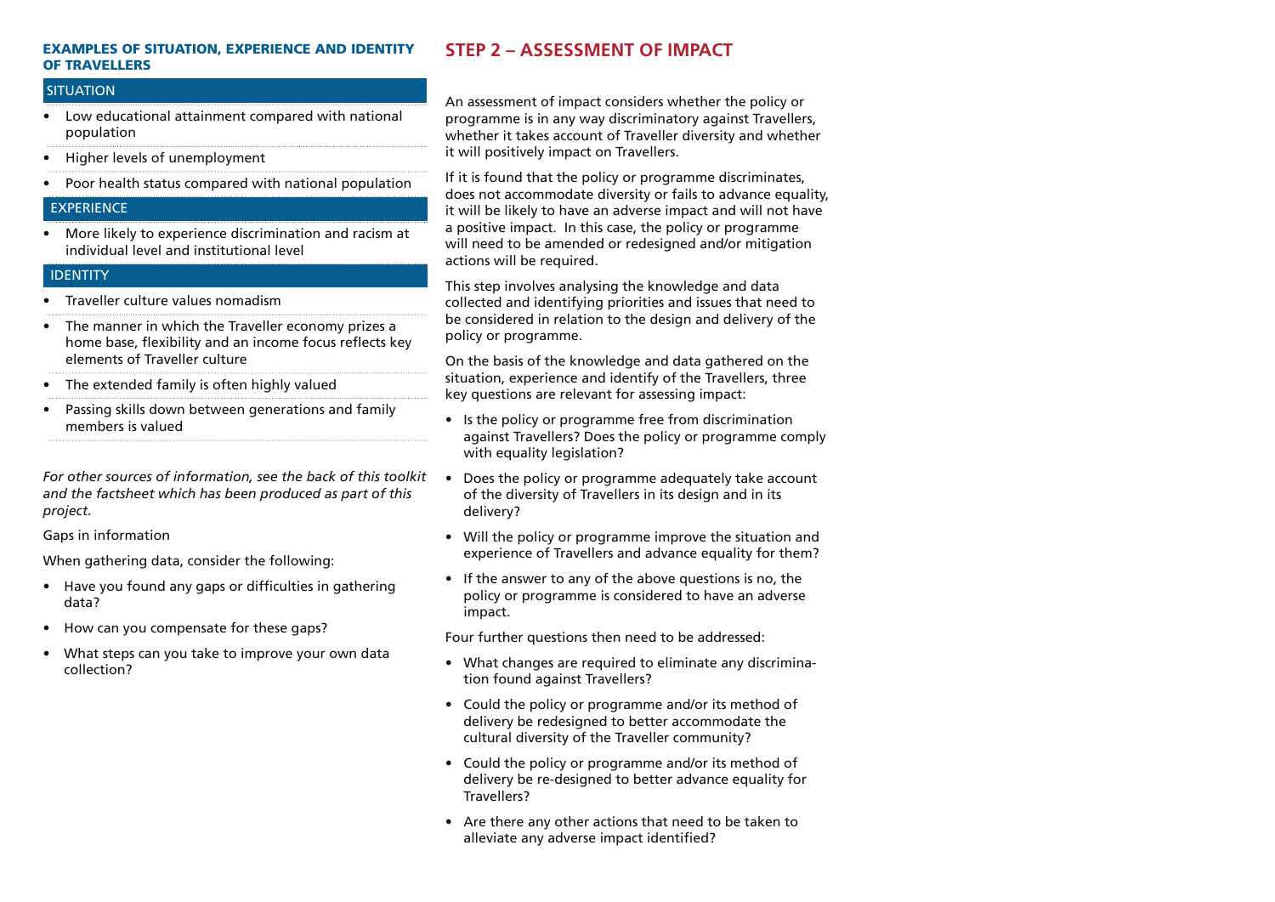#### Examples of situation, experience and identity of Travellers

#### **SITUATION**

- • Low educational attainment compared with national population
- • Higher levels of unemployment
- • Poor health status compared with national population

#### **EXPERIENCE**

• More likely to experience discrimination and racism at individual level and institutional level

#### IDENTITY

- Traveller culture values nomadism
- • The manner in which the Traveller economy prizes a home base, flexibility and an income focus reflects key elements of Traveller culture
- The extended family is often highly valued
- • Passing skills down between generations and family members is valued

*For other sources of information, see the back of this toolkit and the factsheet which has been produced as part of this project*.

Gaps in information

When gathering data, consider the following:

- Have you found any gaps or difficulties in gathering data?
- How can you compensate for these gaps?
- What steps can you take to improve your own data collection?

# **Step 2 – Assessment of Impact**

An assessment of impact considers whether the policy or programme is in any way discriminatory against Travellers, whether it takes account of Traveller diversity and whether it will positively impact on Travellers.

If it is found that the policy or programme discriminates, does not accommodate diversity or fails to advance equality, it will be likely to have an adverse impact and will not have a positive impact. In this case, the policy or programme will need to be amended or redesigned and/or mitigation actions will be required.

This step involves analysing the knowledge and data collected and identifying priorities and issues that need to be considered in relation to the design and delivery of the policy or programme.

On the basis of the knowledge and data gathered on the situation, experience and identify of the Travellers, three key questions are relevant for assessing impact:

- Is the policy or programme free from discrimination against Travellers? Does the policy or programme comply with equality legislation?
- Does the policy or programme adequately take account of the diversity of Travellers in its design and in its delivery?
- Will the policy or programme improve the situation and experience of Travellers and advance equality for them?
- If the answer to any of the above questions is no, the policy or programme is considered to have an adverse impact.

Four further questions then need to be addressed:

- What changes are required to eliminate any discrimination found against Travellers?
- Could the policy or programme and/or its method of delivery be redesigned to better accommodate the cultural diversity of the Traveller community?
- Could the policy or programme and/or its method of delivery be re-designed to better advance equality for Travellers?
- Are there any other actions that need to be taken to alleviate any adverse impact identified?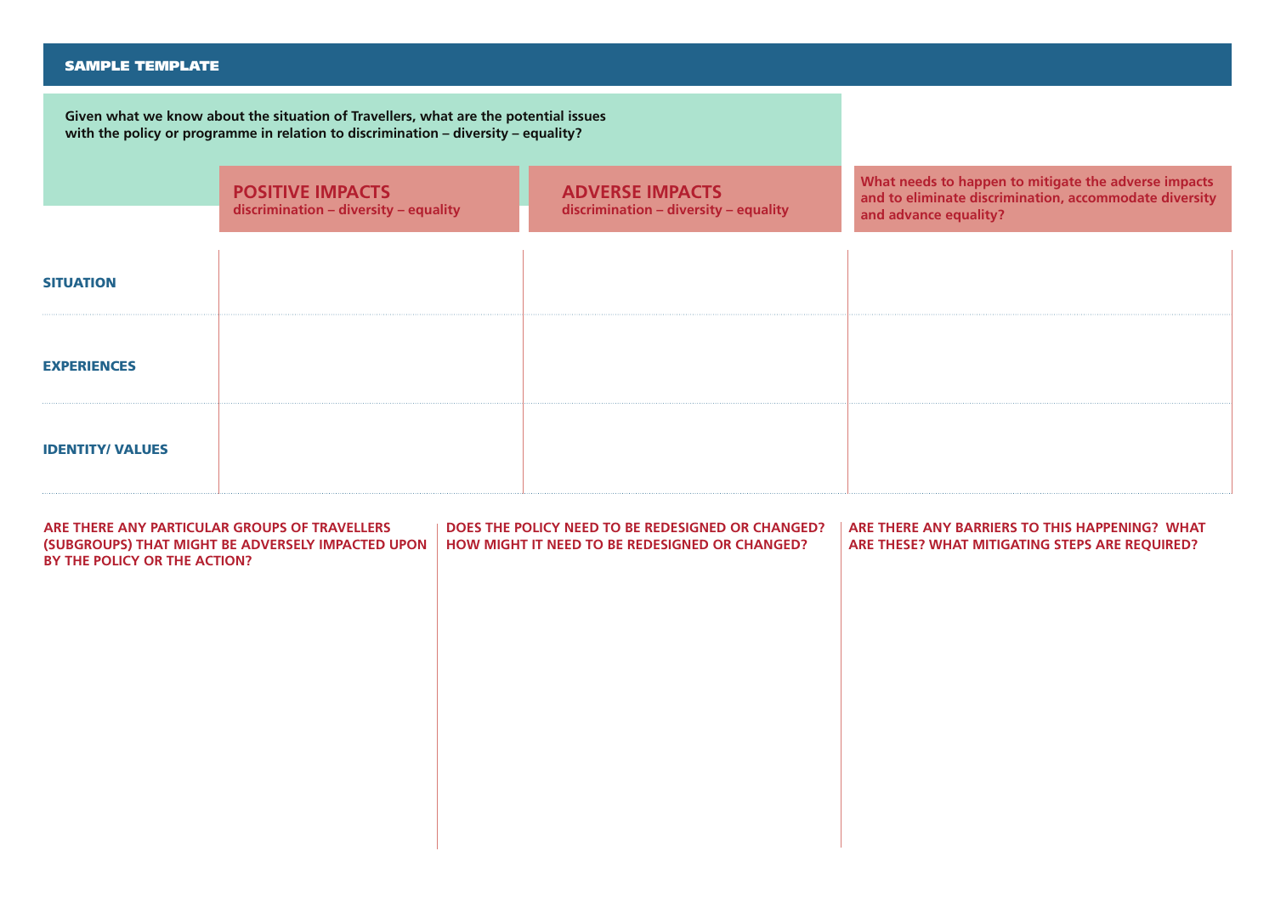#### SAMPLE TEMPLATE

**Given what we know about the situation of Travellers, what are the potential issues with the policy or programme in relation to discrimination – diversity – equality?**

|                         | <b>POSITIVE IMPACTS</b><br>discrimination - diversity - equality | <b>ADVERSE IMPACTS</b><br>discrimination - diversity - equality | What needs to happen to mitigate the adverse impacts<br>and to eliminate discrimination, accommodate diversity<br>and advance equality? |
|-------------------------|------------------------------------------------------------------|-----------------------------------------------------------------|-----------------------------------------------------------------------------------------------------------------------------------------|
| <b>SITUATION</b>        |                                                                  |                                                                 |                                                                                                                                         |
| <b>EXPERIENCES</b>      |                                                                  |                                                                 |                                                                                                                                         |
| <b>IDENTITY/ VALUES</b> |                                                                  |                                                                 |                                                                                                                                         |

| ARE THERE ANY PARTICULAR GROUPS OF TRAVELLERS<br>(SUBGROUPS) THAT MIGHT BE ADVERSELY IMPACTED UPON<br>BY THE POLICY OR THE ACTION? | DOES THE POLICY NEED TO BE REDESIGNED OR CHANGED?<br><b>HOW MIGHT IT NEED TO BE REDESIGNED OR CHANGED?</b> | ARE THERE ANY BARRIERS TO THIS HAPPENING? WHAT<br>ARE THESE? WHAT MITIGATING STEPS ARE REQUIRED? |
|------------------------------------------------------------------------------------------------------------------------------------|------------------------------------------------------------------------------------------------------------|--------------------------------------------------------------------------------------------------|
|                                                                                                                                    |                                                                                                            |                                                                                                  |
|                                                                                                                                    |                                                                                                            |                                                                                                  |
|                                                                                                                                    |                                                                                                            |                                                                                                  |
|                                                                                                                                    |                                                                                                            |                                                                                                  |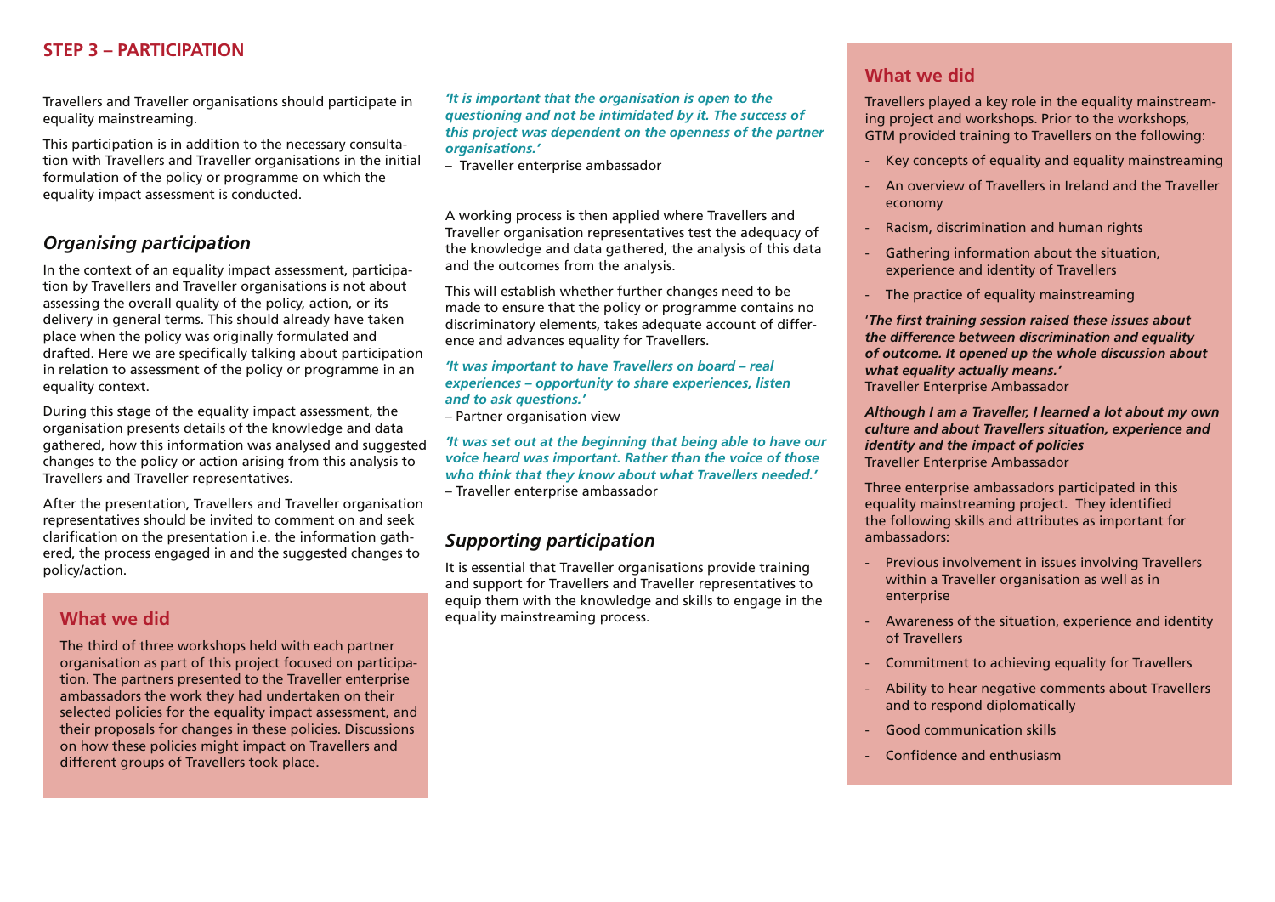# **Step 3 – Participation**

Travellers and Traveller organisations should participate in equality mainstreaming.

This participation is in addition to the necessary consultation with Travellers and Traveller organisations in the initial formulation of the policy or programme on which the equality impact assessment is conducted.

# *Organising participation*

In the context of an equality impact assessment, participation by Travellers and Traveller organisations is not about assessing the overall quality of the policy, action, or its delivery in general terms. This should already have taken place when the policy was originally formulated and drafted. Here we are specifically talking about participation in relation to assessment of the policy or programme in an equality context.

During this stage of the equality impact assessment, the organisation presents details of the knowledge and data gathered, how this information was analysed and suggested changes to the policy or action arising from this analysis to Travellers and Traveller representatives.

After the presentation, Travellers and Traveller organisation representatives should be invited to comment on and seek clarification on the presentation i.e. the information gathered, the process engaged in and the suggested changes to policy/action.

# **What we did**

The third of three workshops held with each partner organisation as part of this project focused on participation. The partners presented to the Traveller enterprise ambassadors the work they had undertaken on their selected policies for the equality impact assessment, and their proposals for changes in these policies. Discussions on how these policies might impact on Travellers and different groups of Travellers took place.

*'It is important that the organisation is open to the questioning and not be intimidated by it. The success of this project was dependent on the openness of the partner organisations.'*

– Traveller enterprise ambassador

A working process is then applied where Travellers and Traveller organisation representatives test the adequacy of the knowledge and data gathered, the analysis of this data and the outcomes from the analysis.

This will establish whether further changes need to be made to ensure that the policy or programme contains no discriminatory elements, takes adequate account of difference and advances equality for Travellers.

#### *'It was important to have Travellers on board – real experiences – opportunity to share experiences, listen and to ask questions.'*

– Partner organisation view

*'It was set out at the beginning that being able to have our voice heard was important. Rather than the voice of those who think that they know about what Travellers needed.'*  – Traveller enterprise ambassador

### *Supporting participation*

It is essential that Traveller organisations provide training and support for Travellers and Traveller representatives to equip them with the knowledge and skills to engage in the equality mainstreaming process.

# **What we did**

Travellers played a key role in the equality mainstreaming project and workshops. Prior to the workshops, GTM provided training to Travellers on the following:

- Key concepts of equality and equality mainstreaming
- An overview of Travellers in Ireland and the Traveller economy
- Racism, discrimination and human rights
- Gathering information about the situation, experience and identity of Travellers
- The practice of equality mainstreaming

'*The first training session raised these issues about the difference between discrimination and equality of outcome. It opened up the whole discussion about what equality actually means.'*  Traveller Enterprise Ambassador

*Although I am a Traveller, I learned a lot about my own culture and about Travellers situation, experience and identity and the impact of policies* Traveller Enterprise Ambassador

Three enterprise ambassadors participated in this equality mainstreaming project. They identified the following skills and attributes as important for ambassadors:

- Previous involvement in issues involving Travellers within a Traveller organisation as well as in enterprise
- Awareness of the situation, experience and identity of Travellers
- Commitment to achieving equality for Travellers
- Ability to hear negative comments about Travellers and to respond diplomatically
- Good communication skills
- Confidence and enthusiasm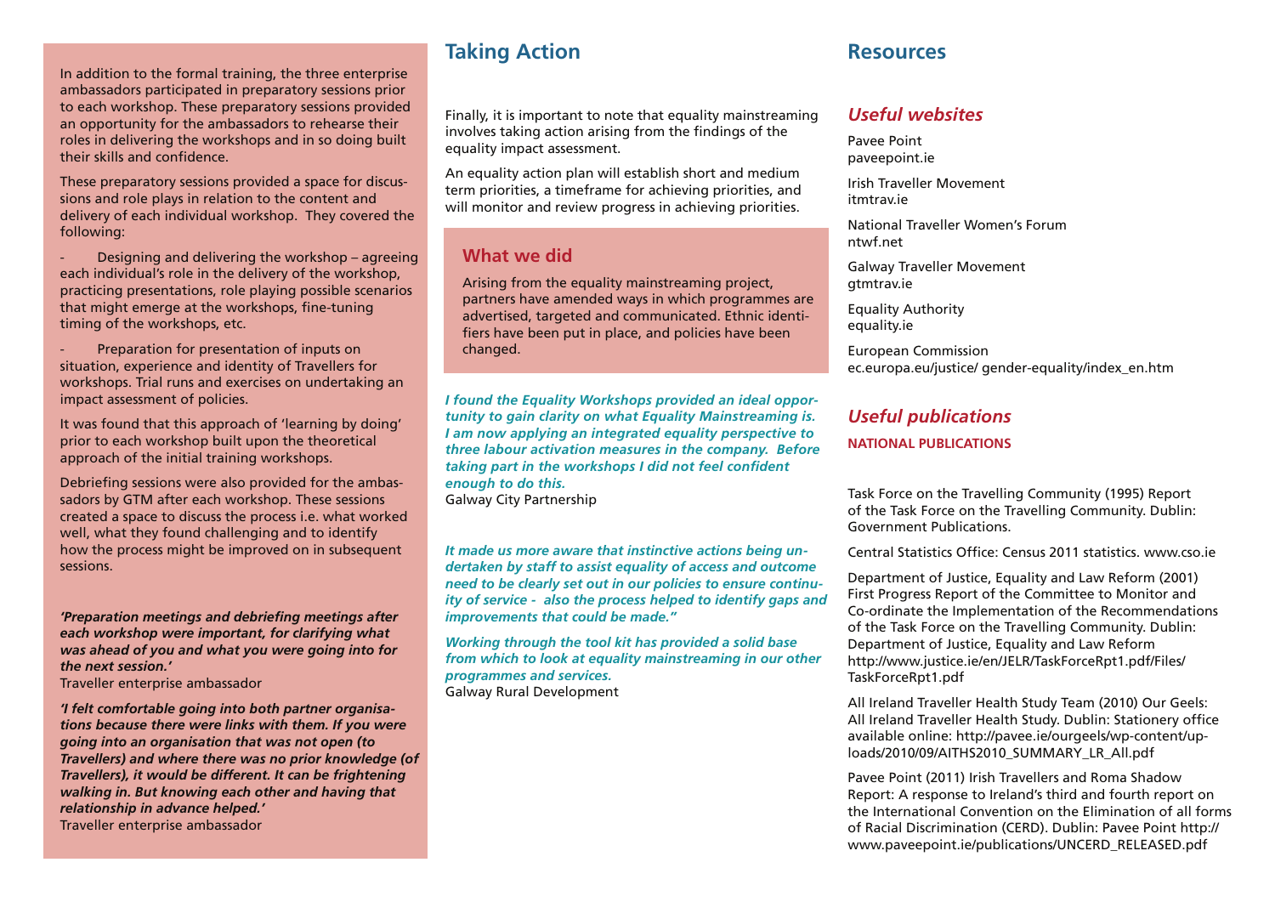In addition to the formal training, the three enterprise ambassadors participated in preparatory sessions prior to each workshop. These preparatory sessions provided an opportunity for the ambassadors to rehearse their roles in delivering the workshops and in so doing built their skills and confidence.

These preparatory sessions provided a space for discussions and role plays in relation to the content and delivery of each individual workshop. They covered the following:

- Designing and delivering the workshop – agreeing each individual's role in the delivery of the workshop, practicing presentations, role playing possible scenarios that might emerge at the workshops, fine-tuning timing of the workshops, etc.

- Preparation for presentation of inputs on situation, experience and identity of Travellers for workshops. Trial runs and exercises on undertaking an impact assessment of policies.

It was found that this approach of 'learning by doing' prior to each workshop built upon the theoretical approach of the initial training workshops.

Debriefing sessions were also provided for the ambassadors by GTM after each workshop. These sessions created a space to discuss the process i.e. what worked well, what they found challenging and to identify how the process might be improved on in subsequent sessions.

*'Preparation meetings and debriefing meetings after each workshop were important, for clarifying what was ahead of you and what you were going into for the next session.'* 

Traveller enterprise ambassador

*'I felt comfortable going into both partner organisations because there were links with them. If you were going into an organisation that was not open (to Travellers) and where there was no prior knowledge (of Travellers), it would be different. It can be frightening walking in. But knowing each other and having that relationship in advance helped.'*  Traveller enterprise ambassador

# **Taking Action**

Finally, it is important to note that equality mainstreaming involves taking action arising from the findings of the equality impact assessment.

An equality action plan will establish short and medium term priorities, a timeframe for achieving priorities, and will monitor and review progress in achieving priorities.

### **What we did**

Arising from the equality mainstreaming project, partners have amended ways in which programmes are advertised, targeted and communicated. Ethnic identifiers have been put in place, and policies have been changed.

*I found the Equality Workshops provided an ideal opportunity to gain clarity on what Equality Mainstreaming is. I am now applying an integrated equality perspective to three labour activation measures in the company. Before taking part in the workshops I did not feel confident enough to do this.*  Galway City Partnership

*It made us more aware that instinctive actions being undertaken by staff to assist equality of access and outcome need to be clearly set out in our policies to ensure continuity of service - also the process helped to identify gaps and improvements that could be made."*

*Working through the tool kit has provided a solid base from which to look at equality mainstreaming in our other programmes and services.* Galway Rural Development

# **Resources**

### *Useful websites*

Pavee Point paveepoint.ie

Irish Traveller Movement itmtrav.ie

National Traveller Women's Forum ntwf.net

Galway Traveller Movement gtmtrav.ie

Equality Authority equality.ie

European Commission ec.europa.eu/justice/ gender-equality/index\_en.htm

### *Useful publications*

#### **NATIONAL PUBLICATIONS**

Task Force on the Travelling Community (1995) Report of the Task Force on the Travelling Community. Dublin: Government Publications.

Central Statistics Office: Census 2011 statistics. www.cso.ie

Department of Justice, Equality and Law Reform (2001) First Progress Report of the Committee to Monitor and Co-ordinate the Implementation of the Recommendations of the Task Force on the Travelling Community. Dublin: Department of Justice, Equality and Law Reform http://www.justice.ie/en/JELR/TaskForceRpt1.pdf/Files/ TaskForceRpt1.pdf

All Ireland Traveller Health Study Team (2010) Our Geels: All Ireland Traveller Health Study. Dublin: Stationery office available online: http://pavee.ie/ourgeels/wp-content/uploads/2010/09/AITHS2010\_SUMMARY\_LR\_All.pdf

Pavee Point (2011) Irish Travellers and Roma Shadow Report: A response to Ireland's third and fourth report on the International Convention on the Elimination of all forms of Racial Discrimination (CERD). Dublin: Pavee Point http:// www.paveepoint.ie/publications/UNCERD\_RELEASED.pdf